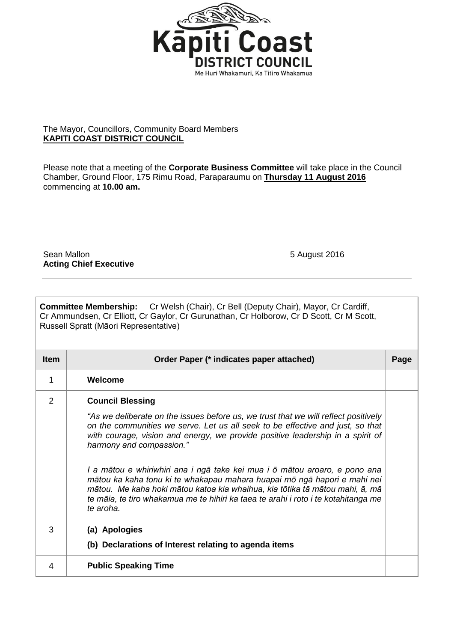

## The Mayor, Councillors, Community Board Members **KAPITI COAST DISTRICT COUNCIL**

Please note that a meeting of the **Corporate Business Committee** will take place in the Council Chamber, Ground Floor, 175 Rimu Road, Paraparaumu on **Thursday 11 August 2016**  commencing at **10.00 am.**

Sean Mallon 5 August 2016 **Acting Chief Executive**

|                                       | <b>Committee Membership:</b> Cr Welsh (Chair), Cr Bell (Deputy Chair), Mayor, Cr Cardiff, |
|---------------------------------------|-------------------------------------------------------------------------------------------|
|                                       | Cr Ammundsen, Cr Elliott, Cr Gaylor, Cr Gurunathan, Cr Holborow, Cr D Scott, Cr M Scott,  |
| Russell Spratt (Māori Representative) |                                                                                           |

| <b>Item</b>    | Order Paper (* indicates paper attached)                                                                                                                                                                                                                                                                                                                                                                                                                                                                                                                                                                                                                    | Page |
|----------------|-------------------------------------------------------------------------------------------------------------------------------------------------------------------------------------------------------------------------------------------------------------------------------------------------------------------------------------------------------------------------------------------------------------------------------------------------------------------------------------------------------------------------------------------------------------------------------------------------------------------------------------------------------------|------|
| 1              | Welcome                                                                                                                                                                                                                                                                                                                                                                                                                                                                                                                                                                                                                                                     |      |
| $\overline{2}$ | <b>Council Blessing</b><br>"As we deliberate on the issues before us, we trust that we will reflect positively<br>on the communities we serve. Let us all seek to be effective and just, so that<br>with courage, vision and energy, we provide positive leadership in a spirit of<br>harmony and compassion."<br>I a mātou e whiriwhiri ana i ngā take kei mua i ō mātou aroaro, e pono ana<br>mātou ka kaha tonu ki te whakapau mahara huapai mō ngā hapori e mahi nei<br>mātou. Me kaha hoki mātou katoa kia whaihua, kia tōtika tā mātou mahi, ā, mā<br>te māia, te tiro whakamua me te hihiri ka taea te arahi i roto i te kotahitanga me<br>te aroha. |      |
| 3              | (a) Apologies<br>(b) Declarations of Interest relating to agenda items                                                                                                                                                                                                                                                                                                                                                                                                                                                                                                                                                                                      |      |
| 4              | <b>Public Speaking Time</b>                                                                                                                                                                                                                                                                                                                                                                                                                                                                                                                                                                                                                                 |      |